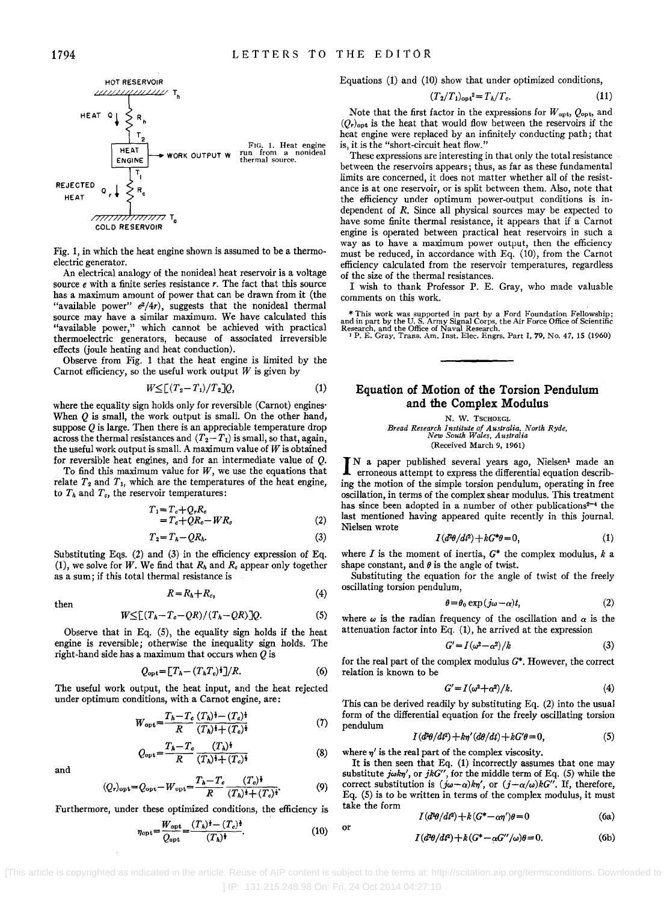

Fig. 1, in which the heat engine shown is assumed to be a thermoelectric generator.

An electrical analogy of the nonideal heat reservoir is a voltage source *e* with a finite series resistance *r*. The fact that this source has a maximum amount of power that can be drawn from it (the "available power"  $e^2/4r$ , suggests that the nonideal thermal source may have a similar maximum. We have calculated this "available power," which cannot be achieved with practical thermoelectric generators, because of associated irreversible effects (joule heating and heat conduction).

Observe from Fig. 1 that the heat engine is limited by the Carnot efficiency, so the useful work output *W* is given by

$$
W \leq \left[ (T_2 - T_1)/T_2 \right] Q, \tag{1}
$$

where the equality sign holds only for reversible (Carnot) engines' When Q is small, the work output is small. On the other hand, suppose  $\ddot{\theta}$  is large. Then there is an appreciable temperature drop across the thermal resistances and  $(T_2 - T_1)$  is small, so that, again, the useful work output is small. A maximum value of *W* is obtained for reversible heat engines, and for an intermediate value of Q.

To find this maximum value for *W,* we use the equations that relate  $T_2$  and  $T_1$ , which are the temperatures of the heat engine, to  $T_h$  and  $T_e$ , the reservoir temperatures:

$$
T_1 = T_c + Q_r R_c
$$
  
= T\_c + QR\_c - WR\_c (2)

$$
T_2 = T_h - QR_h. \tag{3}
$$

Substituting Eqs. (2) and (3) in the efficiency expression of Eq. (1), we solve for *W*. We find that  $R_h$  and  $R_e$  appear only together as a sum; if this total thermal resistance is

$$
R = R_h + R_c,\tag{4}
$$

then

$$
W \leq \left[ (T_h - T_c - QR)/(T_h - QR) \right] Q. \tag{5}
$$

Observe that in Eq. (5), the equality sign holds if the heat engine is reversible; otherwise the inequality sign holds. The right-hand side has a maximum that occurs when  $Q$  is

$$
Q_{\rm opt} = [T_h - (T_h T_c)^{\dagger}] / R. \tag{6}
$$

The useful work output, the heat input, and the heat rejected under optimum conditions, with a Carnot engine, are:

$$
W_{\text{opt}} = \frac{T_h - T_c}{R} \frac{(T_h)^{\frac{1}{2}} - (T_c)^{\frac{1}{2}}}{(T_h)^{\frac{1}{2}} + (T_c)^{\frac{1}{2}}}
$$
(7)

$$
Q_{\text{opt}} = \frac{T_h - T_c}{R} \frac{(T_h)^{\frac{1}{2}}}{(T_h)^{\frac{1}{2}} + (T_c)^{\frac{1}{2}}} \tag{8}
$$

and

$$
(Q_r)_{\text{opt}} = Q_{\text{opt}} - W_{\text{opt}} = \frac{T_h - T_c}{R} \frac{(T_c)^{\frac{1}{2}}}{(T_h)^{\frac{1}{2}} + (T_c)^{\frac{1}{2}}}.
$$
 (9)

Furthermore, under these optimized conditions, the efficiency is

$$
\eta_{\rm opt} = \frac{W_{\rm opt}}{Q_{\rm opt}} = \frac{(T_h)^{\frac{1}{2}} - (T_c)^{\frac{1}{2}}}{(T_h)^{\frac{1}{2}}}.
$$
 (10)

Equations (1) and (10) show that under optimized conditions,

$$
(T_2/T_1)_{\text{opt}}^2 = T_h/T_c. \tag{11}
$$

Note that the first factor in the expressions for  $W_{\text{opt}}, Q_{\text{opt}},$  and  $(Q<sub>r</sub>)<sub>opt</sub>$  is the heat that would flow between the reservoirs if the heat engine were replaced by an infinitely conducting path; that is, it is the "short-circuit heat flow."

These expressions are interesting in that only the total resistance between the reservoirs appears; thus, as far as these fundamental limits are concerned, it does not matter whether all of the resistance is at one reservoir, or is split between them. Also, note that the efficiency under optimum power-output conditions is independent of *R.* Since all physical sources may be expected to have some finite thermal resistance, it appears that if a Carnot engine is operated between practical heat reservoirs in such a way as to have a maximum power output, then the efficiency must be reduced, in accordance with Eq. (10), from the Carnot efficiency calculated from the reservoir temperatures, regardless of the size of the thermal resistances.

I wish to thank Professor P. E. Gray, who made valuable comments on this work.

\* This work was supported in part by a Ford Foundation Fellowship; and in part by the U.S. Army Signal Corps, the Air Force Office of Scientific Research, and the Office of Naval Research,  $\frac{1}{P}$ . F. G. Gray, Trans. Am

## **Equation of Motion of the Torsion Pendulum and the Complex Modulus**

N. W. TSCHOEGL

*Bread Research Institute of Australia, North Ryde, New South Wales, Australia*  (Received March 9, 1961)

IN a paper published several years ago, Nielsen<sup>1</sup> made an erroneous attempt to express the differential equation describing the motion of the simple torsion pendulum, operating in free oscillation, in terms of the complex shear modulus. This treatment has since been adopted in a number of other publications<sup>2-4</sup> the last mentioned having appeared quite recently in this journal. Nielsen wrote

$$
I(d^2\theta/dt^2) + kG^*\theta = 0,\t\t(1)
$$

where *I* is the moment of inertia, G\* the complex modulus, *k* a shape constant, and  $\theta$  is the angle of twist.

Substituting the equation for the angle of twist of the freely oscillating torsion pendulum,

$$
\theta = \theta_0 \exp(j\omega - \alpha)t, \tag{2}
$$

where  $\omega$  is the radian frequency of the oscillation and  $\alpha$  is the attenuation factor into Eq. (1), he arrived at the expression

$$
G'=I(\omega^2-\alpha^2)/k\tag{3}
$$

for the real part of the complex modulus *G\*.* However, the correct relation is known to be

$$
G'=I(\omega^2+\alpha^2)/k.\tag{4}
$$

This can be derived readily by substituting Eq. (2) into the usual form of the differential equation for the freely oscillating torsion pendulum

$$
I(d^2\theta/dt^2) + k\eta'(d\theta/dt) + kG'\theta = 0,
$$
\n(5)

where  $\eta'$  is the real part of the complex viscosity.

It is then seen that Eq. (1) incorrectly assumes that one may substitute  $j\omega k\eta'$ , or  $jkG''$ , for the middle term of Eq. (5) while the correct substitution is  $(j\omega - \alpha)k\eta'$ , or  $(j-\alpha/\omega)kG''$ . If, therefore, Eq. (5) is to be written in terms of the complex modulus, it must take the form

$$
I(d^{2}\theta/dt^{2}) + k(G^{*} - \alpha\eta')\theta = 0
$$
 (6a)

$$
I(d^2\theta/dt^2) + k(G^* - \alpha G^{\prime\prime}/\omega)\theta = 0.
$$
 (6b)

] IP: 131.215.248.98 On: Fri, 24 Oct 2014 04:27:10

or